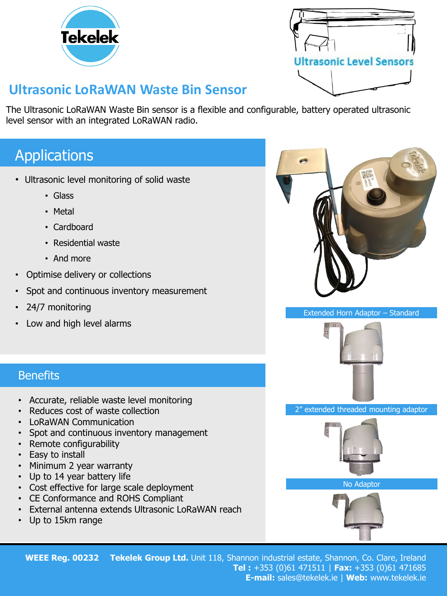

| <b>Ultrasonic Level Sensors</b> |  |
|---------------------------------|--|
|                                 |  |

# **Ultrasonic LoRaWAN Waste Bin Sensor**

The Ultrasonic LoRaWAN Waste Bin sensor is a flexible and configurable, battery operated ultrasonic level sensor with an integrated LoRaWAN radio.

# Applications

- Ultrasonic level monitoring of solid waste
	- Glass
	- Metal
	- Cardboard
	- Residential waste
	- And more
- Optimise delivery or collections
- Spot and continuous inventory measurement
- 24/7 monitoring
- Low and high level alarms

Extended Horn Adaptor – Standard



2" extended threaded mounting adaptor



No Adaptor



### **WEEE Reg. 00232 Tekelek Group Ltd.** Unit 118, Shannon industrial estate, Shannon, Co. Clare, Ireland **Tel :** +353 (0)61 471511 | **Fax:** +353 (0)61 471685 **E-mail:** sales@tekelek.ie | **Web:** www.tekelek.ie

## **Benefits**

- Accurate, reliable waste level monitoring
- Reduces cost of waste collection
- LoRaWAN Communication
- Spot and continuous inventory management
- Remote configurability
- Easy to install
- Minimum 2 year warranty
- Up to 14 year battery life
- Cost effective for large scale deployment
- CE Conformance and ROHS Compliant
- External antenna extends Ultrasonic LoRaWAN reach
- Up to 15km range